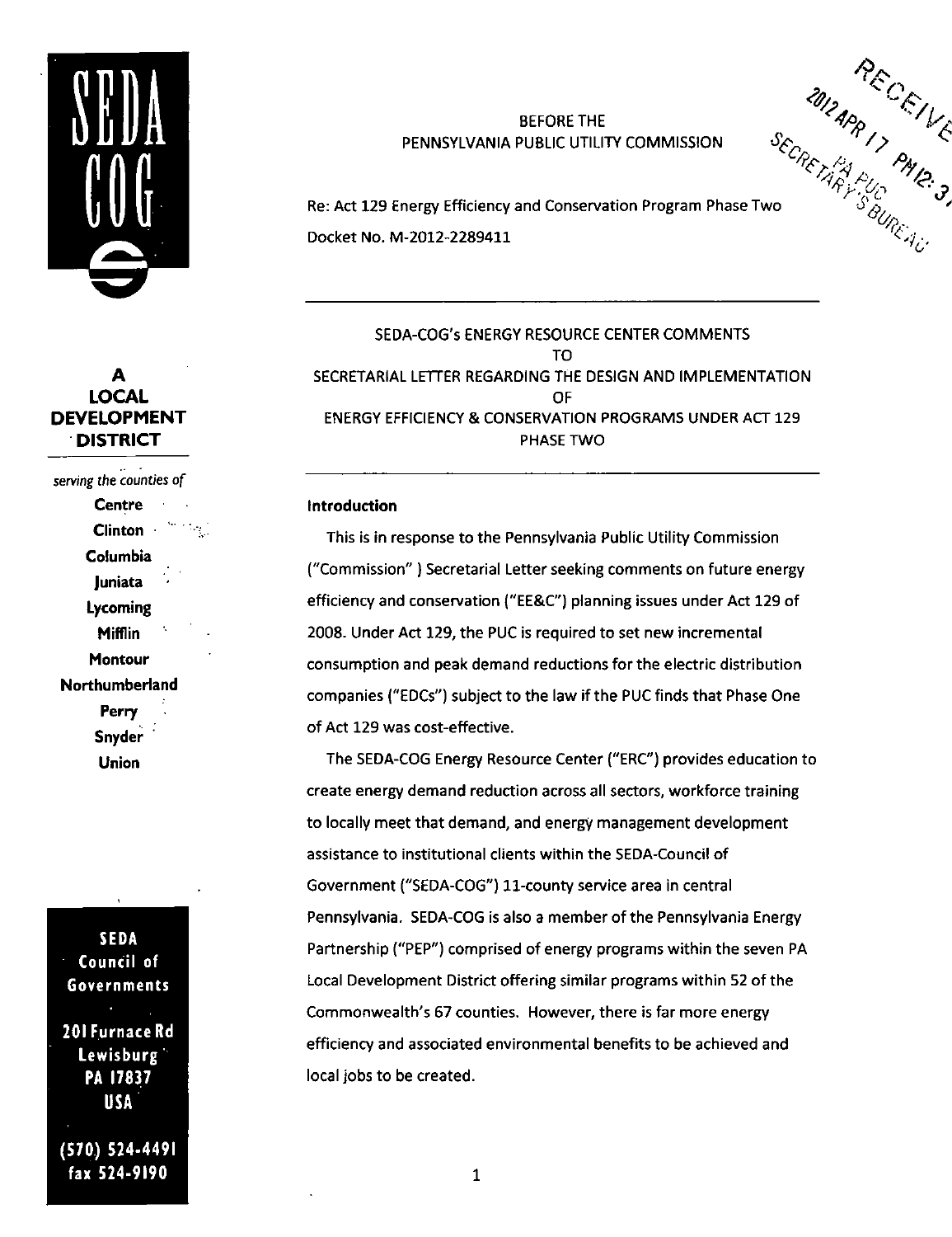

# **A LOCAL DEVELOPMENT DISTRICT**

serving the counties of **Centre** Clinton · Columbia Juniata Lycoming Mifflin Montour Northumberland Perry Snyder Union

SEDA Council of Governments 201 FurnaceRd Lewisburg PA 17837 USA (570) 524-4491 fax 524-9190

## BEFORE THE PENNSYLVANIA PUBLIC UTILITY COMMISSION

Re: Act 129 Energy Efficiency and Conservation Program Phase Two ' BEFORE THE<br>
PENNSYLVANIA PUBLIC UTILITY COMMISSION<br>
Re: Act 129 Energy Efficiency and Conservation Program Phase Two<br>
Docket No. M-2012-2289411<br>
Docket No. M-2012-2289411

SEDA-COG's ENERGY RESOURCE CENTER COMMENTS TO SECRETARIAL LETTER REGARDING THE DESIGN AND IMPLEMENTATION OF ENERGY EFFICIENCY & CONSERVATION PROGRAMS UNDER ACT 129 PHASE TWO

### Introduction

This is in response to the Pennsylvania Public Utility Commission ("Commission" ) Secretarial Letter seeking comments on future energy efficiency and conservation ("EE&C") planning issues under Act 129 of 2008. Under Act 129, the PUC is required to set new incremental consumption and peak demand reductions for the electric distribution companies ("EDCs") subject to the law if the PUC finds that Phase One of Act 129 was cost-effective.

The SEDA-COG Energy Resource Center ("ERC") provides education to create energy demand reduction across all sectors, workforce training to locally meet that demand, and energy management development assistance to institutional clients within the SEDA-Council of Government ("SEDA-COG") 11-county service area in central Pennsylvania. SEDA-COG is also a member of the Pennsylvania Energy Partnership ("PEP") comprised of energy programs within the seven PA Local Development District offering similar programs within 52 of the Commonwealth's 67 counties. However, there is far more energy efficiency and associated environmental benefits to be achieved and local jobs to be created.

 $\mathbf{1}$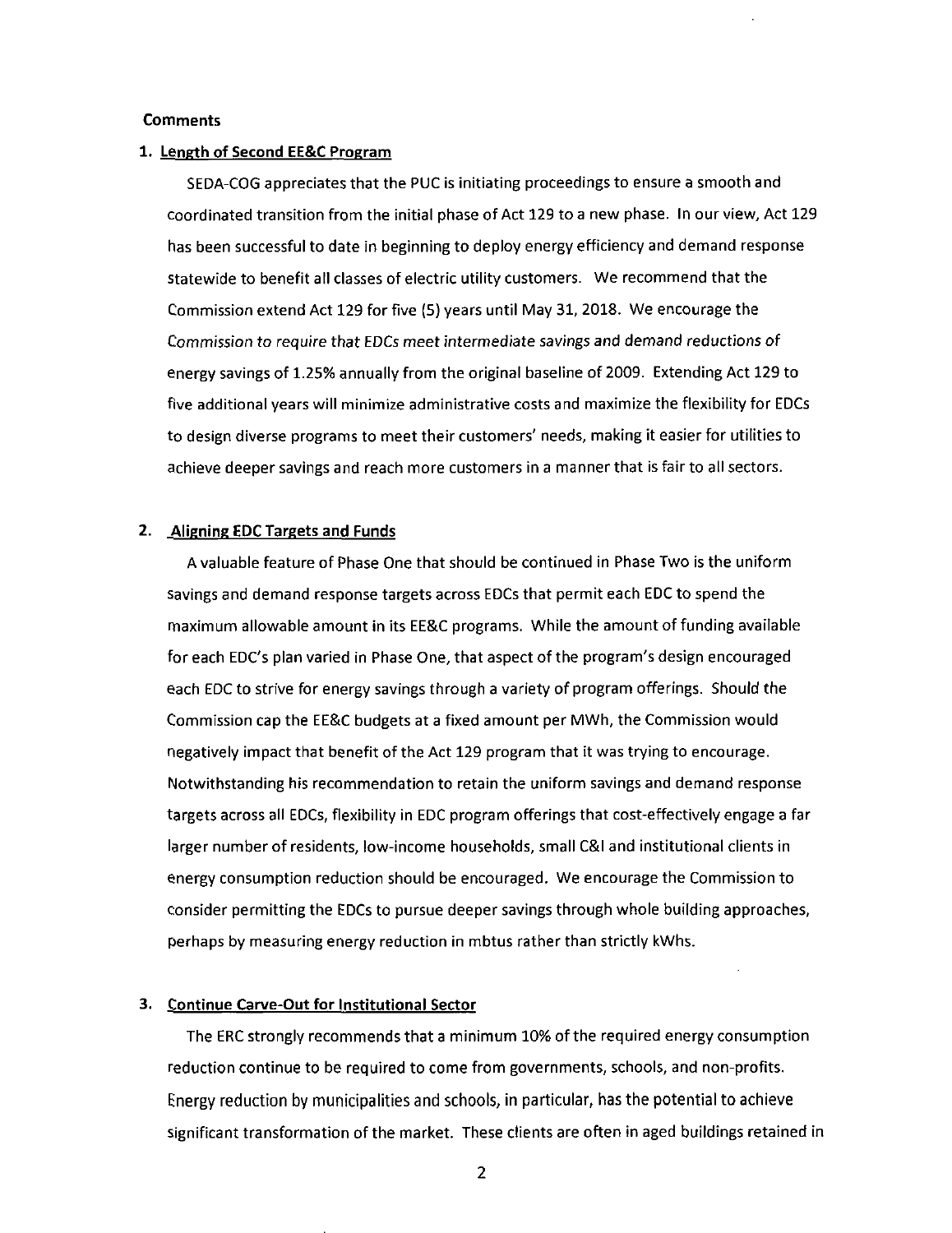### **Comments**

#### **1. Length of Second EE&C Program**

SEDA-COG appreciates that the PUC is initiating proceedings to ensure a smooth and coordinated transition from the initial phase of Act 129 to a new phase. In our view. Act 129 has been successful to date in beginning to deploy energy efficiency and demand response statewide to benefit afl classes of electric utility customers. We recommend that the Commission extend Act 129 for five (5) years until May 31, 2018. We encourage the Commission to require that EDCs meet intermediate savings and demand reductions of energy savings of 1.25% annually from the original baseline of 2009. Extending Act 129 to five additional years will minimize administrative costs and maximize the flexibility for EDCs to design diverse programs to meet their customers' needs, making it easier for utilities to achieve deeper savings and reach more customers in a manner that is fair to all sectors.

#### **2. .Aligning EDC Targets and Funds**

A valuable feature of Phase One that should be continued in Phase Two is the uniform savings and demand response targets across EDCs that permit each EDC to spend the maximum allowable amount in its EE&C programs. While the amount of funding available for each EDC's plan varied in Phase One, that aspect of the program's design encouraged each EDC to strive for energy savings through a variety of program offerings. Should the Commission cap the EE&C budgets at a fixed amount per MWh, the Commission would negatively impact that benefit of the Act 129 program that it was trying to encourage. Notwithstanding his recommendation to retain the uniform savings and demand response targets across all EDCs, flexibility in EDC program offerings that cost-effectively engage a far larger number of residents, low-income households, small C&l and institutional clients in energy consumption reduction should be encouraged. We encourage the Commission to consider permitting the EDCs to pursue deeper savings through whole building approaches, perhaps by measuring energy reduction in mbtus rather than strictly kWhs.

### **3. Continue Carve-Out for Institutional Sector**

The ERC strongly recommends that a minimum 10% of the required energy consumption reduction continue to be required to come from governments, schools, and non-profits. Energy reduction by municipalities and schools, in particular, has the potential to achieve significant transformation of the market. These clients are often in aged buildings retained in

 $\overline{2}$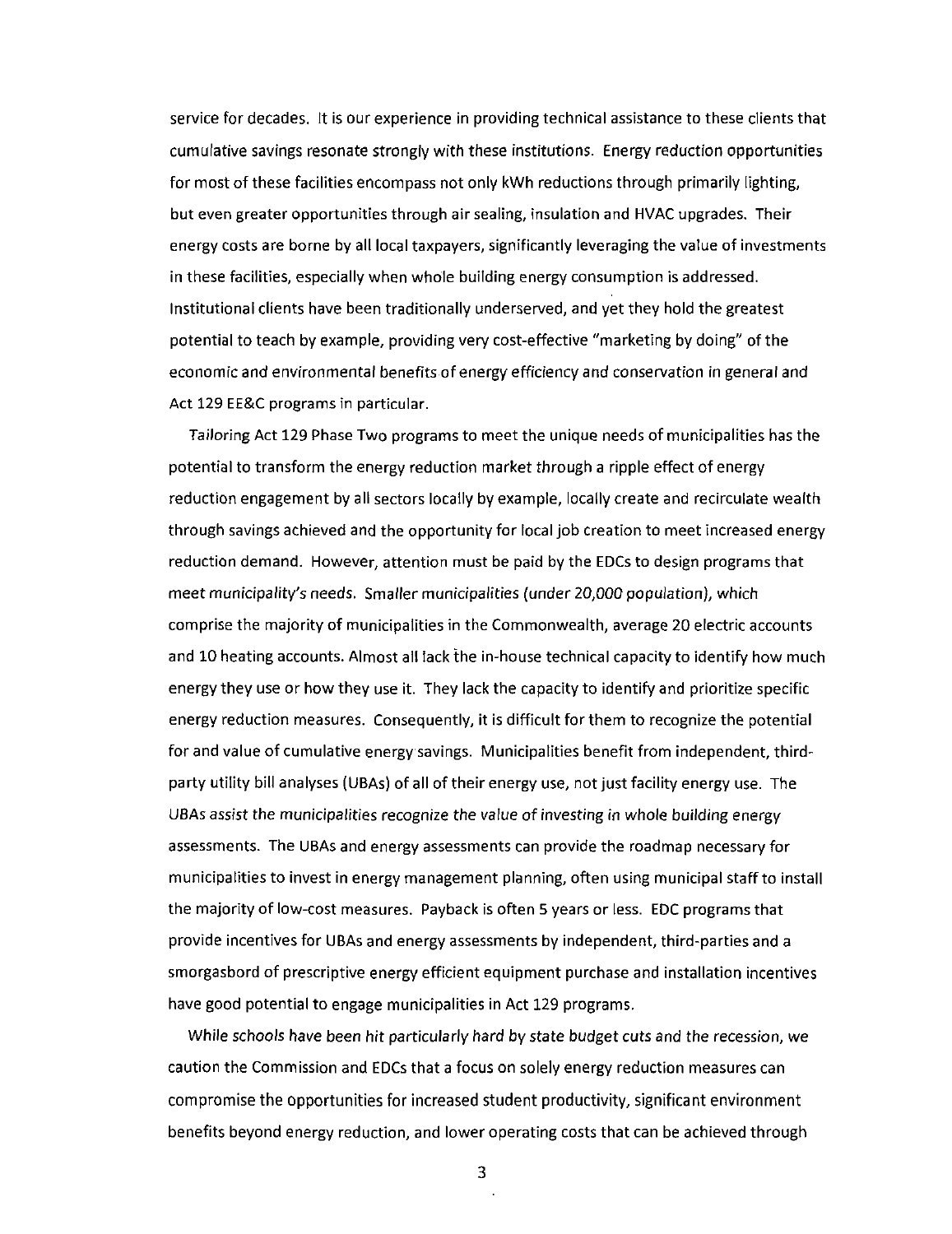service for decades. It is our experience in providing technical assistance to these clients that cumulative savings resonate strongly with these institutions. Energy reduction opportunities for most of these facilities encompass not only kWh reductions through primarily lighting, but even greater opportunities through air sealing, insulation and HVAC upgrades. Their energy costs are borne by all local taxpayers, significantly leveraging the value of investments in these facilities, especially when whole building energy consumption is addressed. Institutional clients have been traditionally underserved, and yet they hold the greatest potential to teach by example, providing very cost-effective "marketing by doing" of the economic and environmental benefits of energy efficiency and conservation in general and Act 129 EE&C programs in particular.

Tailoring Act 129 Phase Two programs to meet the unique needs of municipalities has the potential to transform the energy reduction market through a ripple effect of energy reduction engagement by all sectors locally by example, locally create and recirculate wealth through savings achieved and the opportunity for local job creation to meet increased energy reduction demand. However, attention must be paid by the EDCs to design programs that meet municipality's needs. Smaller municipalities (under 20,000 population), which comprise the majority of municipalities in the Commonwealth, average 20 electric accounts and 10 heating accounts. Almost all lack the in-house technical capacity to identify how much energy they use or how they use it. They lack the capacity to identify and prioritize specific energy reduction measures. Consequently, it is difficult for them to recognize the potential for and value of cumulative energy savings. Municipalities benefit from independent, thirdparty utility bill analyses (UBAs) of all of their energy use, not just facility energy use. The UBAs assist the municipalities recognize the value of investing in whole building energy assessments. The UBAs and energy assessments can provide the roadmap necessary for municipalities to invest in energy management planning, often using municipal staff to install the majority of low-cost measures. Payback is often 5 years or less. EDC programs that provide incentives for UBAs and energy assessments by independent, third-parties and a smorgasbord of prescriptive energy efficient equipment purchase and installation incentives have good potential to engage municipalities in Act 129 programs.

While schools have been hit particularly hard by state budget cuts and the recession, we caution the Commission and EDCs that a focus on solely energy reduction measures can compromise the opportunities for increased student productivity, significant environment benefits beyond energy reduction, and lower operating costs that can be achieved through

3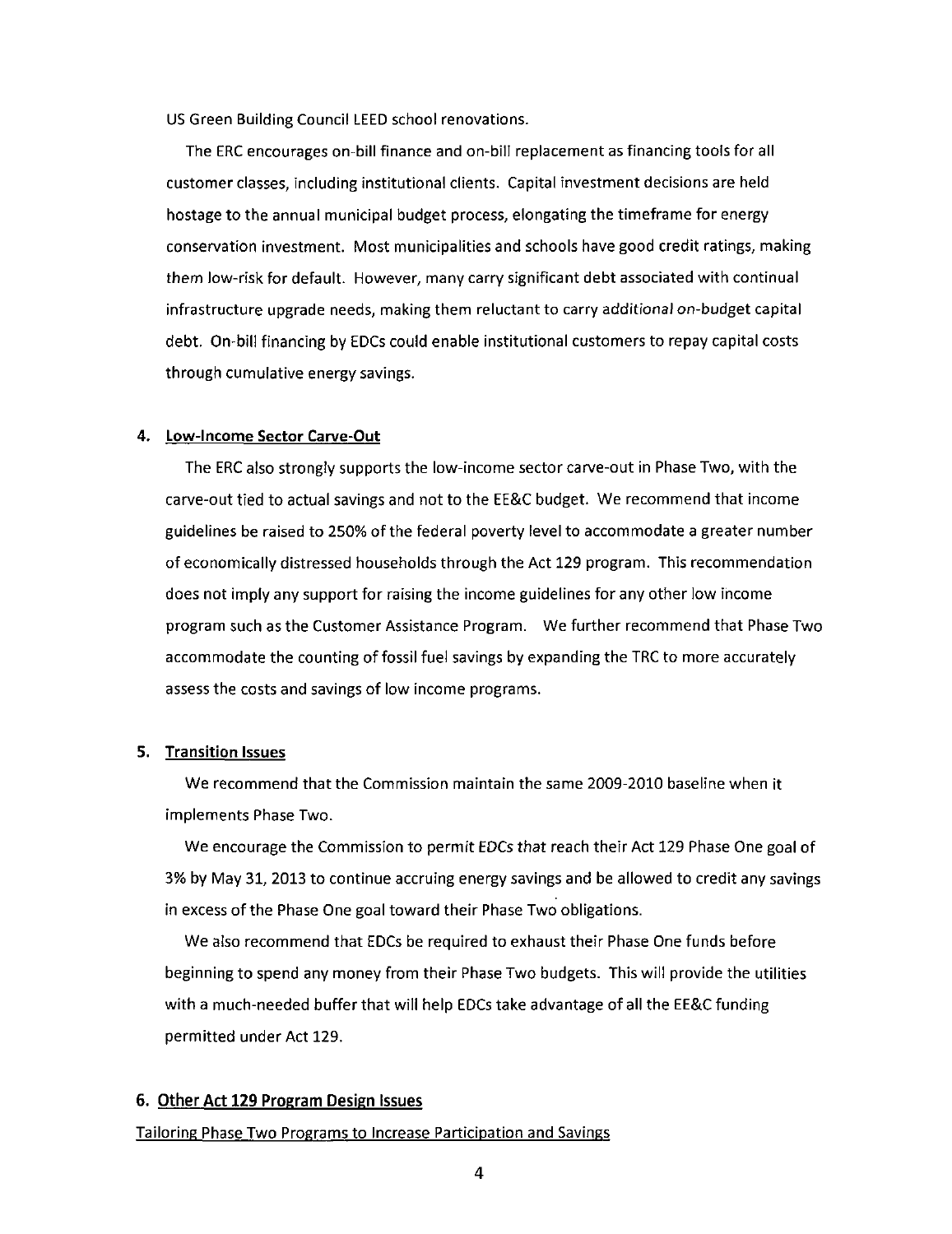US Green Building Council LEED school renovations.

The ERC encourages on-bill finance and on-bill replacement as financing tools for all customer classes, including institutional clients. Capital investment decisions are held hostage to the annual municipal budget process, elongating the timeframe for energy conservation investment. Most municipalities and schools have good credit ratings, making them low-risk for default. However, many carry significant debt associated with continual infrastructure upgrade needs, making them reluctant to carry additional on-budget capital debt. On-bill financing by EDCs could enable institutional customers to repay capital costs through cumulative energy savings.

#### **4. Low-Income Sector Carve-Out**

The ERC also strongly supports the low-income sector carve-out in Phase Two, with the carve-out tied to actual savings and not to the EE&C budget. We recommend that income guidelines be raised to 250% of the federal poverty level to accommodate a greater number of economically distressed households through the Act 129 program. This recommendation does not imply any support for raising the income guidelines for any other low income program such as the Customer Assistance Program. We further recommend that Phase Two accommodate the counting of fossil fuel savings by expanding the TRC to more accurately assess the costs and savings of low income programs.

## 5. Transition Issues

We recommend that the Commission maintain the same 2009-2010 baseline when it implements Phase Two.

We encourage the Commission to permit EDCs that reach their Act 129 Phase One goal of 3% by May 31, 2013 to continue accruing energy savings and be allowed to credit any savings in excess of the Phase One goal toward their Phase Two obligations.

We also recommend that EDCs be required to exhaust their Phase One funds before beginning to spend any money from their Phase Two budgets. This will provide the utilities with a much-needed buffer that will help EDCs take advantage of all the EE&C funding permitted under Act 129.

## **6. Other Act 129 Program Design Issues**

## Tailoring Phase Two Programs to Increase Participation and Savings

 $\overline{4}$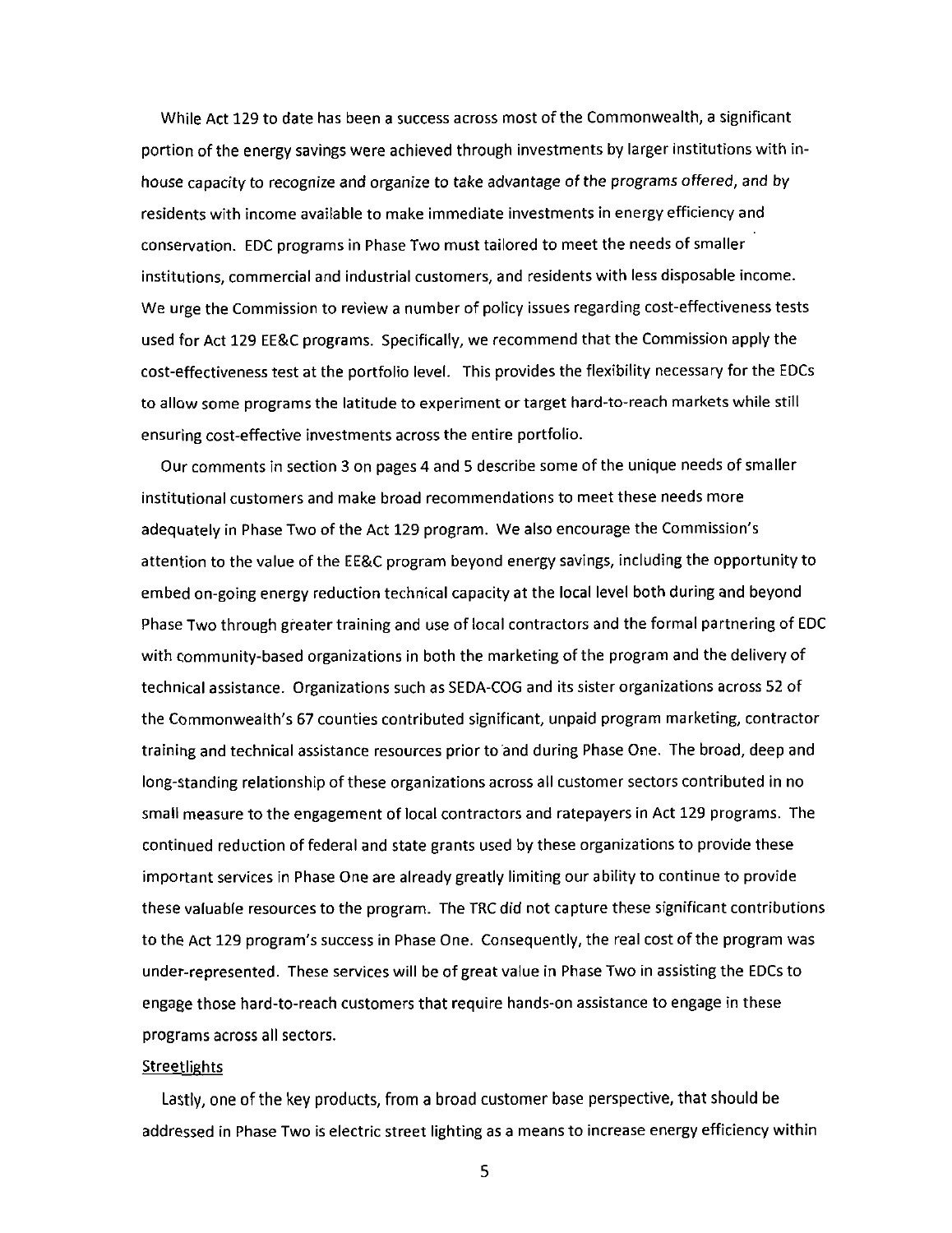While Act 129 to date has been a success across most of the Commonwealth, a significant portion of the energy savings were achieved through investments by larger institutions with inhouse capacity to recognize and organize to take advantage of the programs offered, and by residents with income available to make immediate investments in energy efficiency and conservation. EDC programs in Phase Two must tailored to meet the needs of smaller institutions, commercial and industrial customers, and residents with less disposable income. We urge the Commission to review a number of policy issues regarding cost-effectiveness tests used for Act 129 EE&C programs. Specifically, we recommend that the Commission apply the cost-effectiveness test at the portfolio level. This provides the flexibility necessary for the EDCs to allow some programs the latitude to experiment or target hard-to-reach markets while still ensuring cost-effective investments across the entire portfolio.

Our comments in section 3 on pages 4 and 5 describe some of the unique needs of smaller institutional customers and make broad recommendations to meet these needs more adequately in Phase Two of the Act 129 program. We also encourage the Commission's attention to the value of the EE&C program beyond energy savings, including the opportunity to embed on-going energy reduction technical capacity at the local level both during and beyond Phase Two through greater training and use of local contractors and the formal partnering of EDC with community-based organizations in both the marketing of the program and the delivery of technical assistance. Organizations such as SEDA-COG and its sister organizations across 52 of the Commonwealth's 67 counties contributed significant, unpaid program marketing, contractor training and technical assistance resources prior to and during Phase One. The broad, deep and long-standing relationship of these organizations across all customer sectors contributed in no small measure to the engagement of local contractors and ratepayers in Act 129 programs. The continued reduction of federal and state grants used by these organizations to provide these important services in Phase One are already greatly limiting our ability to continue to provide these valuable resources to the program. The TRC did not capture these significant contributions to the Act 129 program's success in Phase One. Consequently, the real cost of the program was under-represented. These services will be of great value in Phase Two in assisting the EDCs to engage those hard-to-reach customers that require hands-on assistance to engage in these programs across all sectors.

#### **Streetlights**

Lastly, one of the key products, from a broad customer base perspective, that should be addressed in Phase Two is electric street lighting as a means to increase energy efficiency within

5